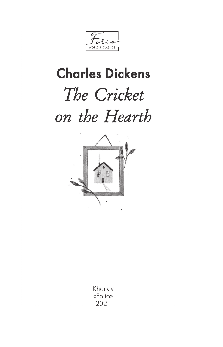$\theta$ WORLD'S CLASSICS

## **Charles Dickens** The Cricket on the Hearth



Kharkiv «Folio» 2021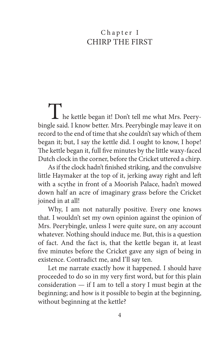## Chapter I Chirp the First

The kettle began it! Don't tell me what Mrs. Peery-bingle said. I know better. Mrs. Peerybingle may leave it on record to the end of time that she couldn't say which of them began it; but, I say the kettle did. I ought to know, I hope! The kettle began it, full five minutes by the little waxy-faced Dutch clock in the corner, before the Cricket uttered a chirp.

As if the clock hadn't finished striking, and the convulsive little Haymaker at the top of it, jerking away right and left with a scythe in front of a Moorish Palace, hadn't mowed down half an acre of imaginary grass before the Cricket joined in at all!

Why, I am not naturally positive. Every one knows that. I wouldn't set my own opinion against the opinion of Mrs. Peerybingle, unless I were quite sure, on any account whatever. Nothing should induce me. But, this is a question of fact. And the fact is, that the kettle began it, at least five minutes before the Cricket gave any sign of being in existence. Contradict me, and I'll say ten.

Let me narrate exactly how it happened. I should have proceeded to do so in my very first word, but for this plain consideration — if I am to tell a story I must begin at the beginning; and how is it possible to begin at the beginning, without beginning at the kettle?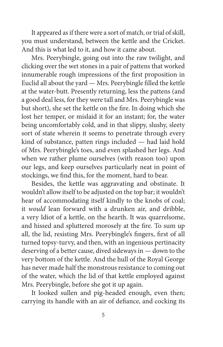It appeared as if there were a sort of match, or trial of skill, you must understand, between the kettle and the Cricket. And this is what led to it, and how it came about.

Mrs. Peerybingle, going out into the raw twilight, and clicking over the wet stones in a pair of pattens that worked innumerable rough impressions of the first proposition in Euclid all about the yard — Mrs. Peerybingle filled the kettle at the water-butt. Presently returning, less the pattens (and a good deal less, for they were tall and Mrs. Peerybingle was but short), she set the kettle on the fire. In doing which she lost her temper, or mislaid it for an instant; for, the water being uncomfortably cold, and in that slippy, slushy, sleety sort of state wherein it seems to penetrate through every kind of substance, patten rings included — had laid hold of Mrs. Peerybingle's toes, and even splashed her legs. And when we rather plume ourselves (with reason too) upon our legs, and keep ourselves particularly neat in point of stockings, we find this, for the moment, hard to bear.

Besides, the kettle was aggravating and obstinate. It wouldn't allow itself to be adjusted on the top bar; it wouldn't hear of accommodating itself kindly to the knobs of coal; it *would* lean forward with a drunken air, and dribble, a very Idiot of a kettle, on the hearth. It was quarrelsome, and hissed and spluttered morosely at the fire. To sum up all, the lid, resisting Mrs. Peerybingle's fingers, first of all turned topsy-turvy, and then, with an ingenious pertinacity deserving of a better cause, dived sideways in — down to the very bottom of the kettle. And the hull of the Royal George has never made half the monstrous resistance to coming out of the water, which the lid of that kettle employed against Mrs. Peerybingle, before she got it up again.

It looked sullen and pig-headed enough, even then; carrying its handle with an air of defiance, and cocking its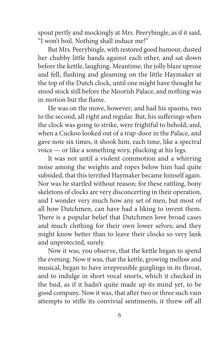spout pertly and mockingly at Mrs. Peerybingle, as if it said, "I won't boil. Nothing shall induce me!"

But Mrs. Peerybingle, with restored good humour, dusted her chubby little hands against each other, and sat down before the kettle, laughing. Meantime, the jolly blaze uprose and fell, flashing and gleaming on the little Haymaker at the top of the Dutch clock, until one might have thought he stood stock still before the Moorish Palace, and nothing was in motion but the flame.

He was on the move, however; and had his spasms, two to the second, all right and regular. But, his sufferings when the clock was going to strike, were frightful to behold; and, when a Cuckoo looked out of a trap-door in the Palace, and gave note six times, it shook him, each time, like a spectral voice — or like a something wiry, plucking at his legs.

It was not until a violent commotion and a whirring noise among the weights and ropes below him had quite subsided, that this terrified Haymaker became himself again. Nor was he startled without reason; for these rattling, bony skeletons of clocks are very disconcerting in their operation, and I wonder very much how any set of men, but most of all how Dutchmen, can have had a liking to invent them. There is a popular belief that Dutchmen love broad cases and much clothing for their own lower selves; and they might know better than to leave their clocks so very lank and unprotected, surely.

Now it was, you observe, that the kettle began to spend the evening. Now it was, that the kettle, growing mellow and musical, began to have irrepressible gurglings in its throat, and to indulge in short vocal snorts, which it checked in the bud, as if it hadn't quite made up its mind yet, to be good company. Now it was, that after two or three such vain attempts to stifle its convivial sentiments, it threw off all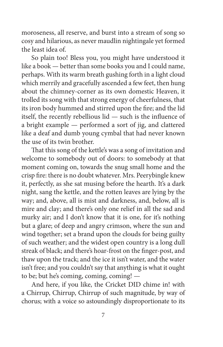moroseness, all reserve, and burst into a stream of song so cosy and hilarious, as never maudlin nightingale yet formed the least idea of.

So plain too! Bless you, you might have understood it like a book — better than some books you and I could name, perhaps. With its warm breath gushing forth in a light cloud which merrily and gracefully ascended a few feet, then hung about the chimney-corner as its own domestic Heaven, it trolled its song with that strong energy of cheerfulness, that its iron body hummed and stirred upon the fire; and the lid itself, the recently rebellious lid — such is the influence of a bright example — performed a sort of jig, and clattered like a deaf and dumb young cymbal that had never known the use of its twin brother.

That this song of the kettle's was a song of invitation and welcome to somebody out of doors: to somebody at that moment coming on, towards the snug small home and the crisp fire: there is no doubt whatever. Mrs. Peerybingle knew it, perfectly, as she sat musing before the hearth. It's a dark night, sang the kettle, and the rotten leaves are lying by the way; and, above, all is mist and darkness, and, below, all is mire and clay; and there's only one relief in all the sad and murky air; and I don't know that it is one, for it's nothing but a glare; of deep and angry crimson, where the sun and wind together; set a brand upon the clouds for being guilty of such weather; and the widest open country is a long dull streak of black; and there's hoar-frost on the finger-post, and thaw upon the track; and the ice it isn't water, and the water isn't free; and you couldn't say that anything is what it ought to be; but he's coming, coming, coming! —

And here, if you like, the Cricket DID chime in! with a Chirrup, Chirrup, Chirrup of such magnitude, by way of chorus; with a voice so astoundingly disproportionate to its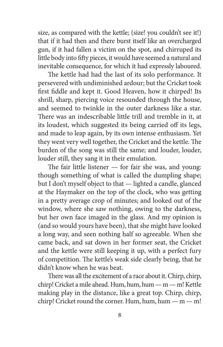size, as compared with the kettle; (size! you couldn't see it!) that if it had then and there burst itself like an overcharged gun, if it had fallen a victim on the spot, and chirruped its little body into fifty pieces, it would have seemed a natural and inevitable consequence, for which it had expressly laboured.

The kettle had had the last of its solo performance. It persevered with undiminished ardour; but the Cricket took first fiddle and kept it. Good Heaven, how it chirped! Its shrill, sharp, piercing voice resounded through the house, and seemed to twinkle in the outer darkness like a star. There was an indescribable little trill and tremble in it, at its loudest, which suggested its being carried off its legs, and made to leap again, by its own intense enthusiasm. Yet they went very well together, the Cricket and the kettle. The burden of the song was still the same; and louder, louder, louder still, they sang it in their emulation.

The fair little listener — for fair she was, and young: though something of what is called the dumpling shape; but I don't myself object to that — lighted a candle, glanced at the Haymaker on the top of the clock, who was getting in a pretty average crop of minutes; and looked out of the window, where she saw nothing, owing to the darkness, but her own face imaged in the glass. And my opinion is (and so would yours have been), that she might have looked a long way, and seen nothing half so agreeable. When she came back, and sat down in her former seat, the Cricket and the kettle were still keeping it up, with a perfect fury of competition. The kettle's weak side clearly being, that he didn't know when he was beat.

There was all the excitement of a race about it. Chirp, chirp, chirp! Cricket a mile ahead. Hum, hum, hum — m — m! Kettle making play in the distance, like a great top. Chirp, chirp, chirp! Cricket round the corner. Hum, hum, hum  $-$  m $-$  m!